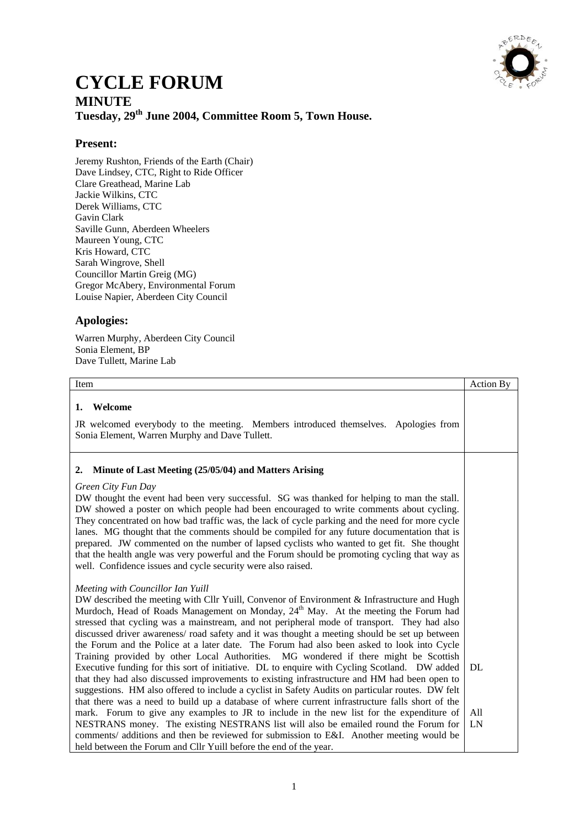

## **CYCLE FORUM MINUTE Tuesday, 29th June 2004, Committee Room 5, Town House.**

## **Present:**

Jeremy Rushton, Friends of the Earth (Chair) Dave Lindsey, CTC, Right to Ride Officer Clare Greathead, Marine Lab Jackie Wilkins, CTC Derek Williams, CTC Gavin Clark Saville Gunn, Aberdeen Wheelers Maureen Young, CTC Kris Howard, CTC Sarah Wingrove, Shell Councillor Martin Greig (MG) Gregor McAbery, Environmental Forum Louise Napier, Aberdeen City Council

## **Apologies:**

Warren Murphy, Aberdeen City Council Sonia Element, BP Dave Tullett, Marine Lab

| Item                                                                                                                                                                                                                                                                                                                                                                                                                                                                                                                                                                                                                                                                                                                                                                                                                                                                                                                          | <b>Action By</b> |
|-------------------------------------------------------------------------------------------------------------------------------------------------------------------------------------------------------------------------------------------------------------------------------------------------------------------------------------------------------------------------------------------------------------------------------------------------------------------------------------------------------------------------------------------------------------------------------------------------------------------------------------------------------------------------------------------------------------------------------------------------------------------------------------------------------------------------------------------------------------------------------------------------------------------------------|------------------|
| Welcome<br>1.                                                                                                                                                                                                                                                                                                                                                                                                                                                                                                                                                                                                                                                                                                                                                                                                                                                                                                                 |                  |
| JR welcomed everybody to the meeting. Members introduced themselves. Apologies from<br>Sonia Element, Warren Murphy and Dave Tullett.                                                                                                                                                                                                                                                                                                                                                                                                                                                                                                                                                                                                                                                                                                                                                                                         |                  |
| Minute of Last Meeting (25/05/04) and Matters Arising<br>2.                                                                                                                                                                                                                                                                                                                                                                                                                                                                                                                                                                                                                                                                                                                                                                                                                                                                   |                  |
| Green City Fun Day<br>DW thought the event had been very successful. SG was thanked for helping to man the stall.<br>DW showed a poster on which people had been encouraged to write comments about cycling.<br>They concentrated on how bad traffic was, the lack of cycle parking and the need for more cycle<br>lanes. MG thought that the comments should be compiled for any future documentation that is<br>prepared. JW commented on the number of lapsed cyclists who wanted to get fit. She thought<br>that the health angle was very powerful and the Forum should be promoting cycling that way as<br>well. Confidence issues and cycle security were also raised.                                                                                                                                                                                                                                                 |                  |
| Meeting with Councillor Ian Yuill<br>DW described the meeting with Cllr Yuill, Convenor of Environment & Infrastructure and Hugh<br>Murdoch, Head of Roads Management on Monday, 24 <sup>th</sup> May. At the meeting the Forum had<br>stressed that cycling was a mainstream, and not peripheral mode of transport. They had also<br>discussed driver awareness/ road safety and it was thought a meeting should be set up between<br>the Forum and the Police at a later date. The Forum had also been asked to look into Cycle<br>Training provided by other Local Authorities. MG wondered if there might be Scottish<br>Executive funding for this sort of initiative. DL to enquire with Cycling Scotland. DW added<br>that they had also discussed improvements to existing infrastructure and HM had been open to<br>suggestions. HM also offered to include a cyclist in Safety Audits on particular routes. DW felt | DL               |
| that there was a need to build up a database of where current infrastructure falls short of the<br>mark. Forum to give any examples to JR to include in the new list for the expenditure of<br>NESTRANS money. The existing NESTRANS list will also be emailed round the Forum for<br>comments/ additions and then be reviewed for submission to E&I. Another meeting would be<br>held between the Forum and Cllr Yuill before the end of the year.                                                                                                                                                                                                                                                                                                                                                                                                                                                                           | All<br>LN        |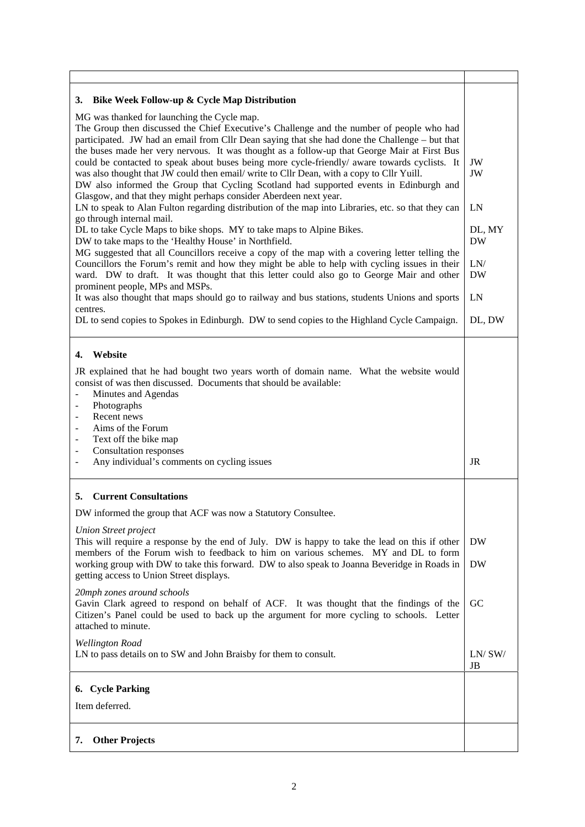| Bike Week Follow-up & Cycle Map Distribution<br>3.                                                                                                                                                                                                                                                                                                                                                                                                                                                                                                                                                                                                                                                      |                     |
|---------------------------------------------------------------------------------------------------------------------------------------------------------------------------------------------------------------------------------------------------------------------------------------------------------------------------------------------------------------------------------------------------------------------------------------------------------------------------------------------------------------------------------------------------------------------------------------------------------------------------------------------------------------------------------------------------------|---------------------|
| MG was thanked for launching the Cycle map.<br>The Group then discussed the Chief Executive's Challenge and the number of people who had<br>participated. JW had an email from Cllr Dean saying that she had done the Challenge – but that<br>the buses made her very nervous. It was thought as a follow-up that George Mair at First Bus<br>could be contacted to speak about buses being more cycle-friendly/ aware towards cyclists. It<br>was also thought that JW could then email/ write to Cllr Dean, with a copy to Cllr Yuill.<br>DW also informed the Group that Cycling Scotland had supported events in Edinburgh and<br>Glasgow, and that they might perhaps consider Aberdeen next year. | JW<br>JW            |
| LN to speak to Alan Fulton regarding distribution of the map into Libraries, etc. so that they can<br>go through internal mail.                                                                                                                                                                                                                                                                                                                                                                                                                                                                                                                                                                         | LN                  |
| DL to take Cycle Maps to bike shops. MY to take maps to Alpine Bikes.<br>DW to take maps to the 'Healthy House' in Northfield.                                                                                                                                                                                                                                                                                                                                                                                                                                                                                                                                                                          | DL, MY<br><b>DW</b> |
| MG suggested that all Councillors receive a copy of the map with a covering letter telling the<br>Councillors the Forum's remit and how they might be able to help with cycling issues in their<br>ward. DW to draft. It was thought that this letter could also go to George Mair and other                                                                                                                                                                                                                                                                                                                                                                                                            | LN/<br><b>DW</b>    |
| prominent people, MPs and MSPs.<br>It was also thought that maps should go to railway and bus stations, students Unions and sports<br>centres.                                                                                                                                                                                                                                                                                                                                                                                                                                                                                                                                                          | LN                  |
| DL to send copies to Spokes in Edinburgh. DW to send copies to the Highland Cycle Campaign.                                                                                                                                                                                                                                                                                                                                                                                                                                                                                                                                                                                                             | DL, DW              |
| Website<br>4.<br>JR explained that he had bought two years worth of domain name. What the website would<br>consist of was then discussed. Documents that should be available:<br>Minutes and Agendas<br>Photographs                                                                                                                                                                                                                                                                                                                                                                                                                                                                                     |                     |
| Recent news<br>$\overline{\phantom{0}}$<br>Aims of the Forum<br>$\qquad \qquad -$<br>Text off the bike map<br>$\overline{\phantom{a}}$<br><b>Consultation responses</b><br>$\overline{\phantom{a}}$<br>Any individual's comments on cycling issues<br>$\overline{\phantom{0}}$                                                                                                                                                                                                                                                                                                                                                                                                                          | <b>JR</b>           |
| <b>Current Consultations</b><br>5.                                                                                                                                                                                                                                                                                                                                                                                                                                                                                                                                                                                                                                                                      |                     |
| DW informed the group that ACF was now a Statutory Consultee.                                                                                                                                                                                                                                                                                                                                                                                                                                                                                                                                                                                                                                           |                     |
| <b>Union Street project</b><br>This will require a response by the end of July. DW is happy to take the lead on this if other                                                                                                                                                                                                                                                                                                                                                                                                                                                                                                                                                                           | DW                  |
| members of the Forum wish to feedback to him on various schemes. MY and DL to form<br>working group with DW to take this forward. DW to also speak to Joanna Beveridge in Roads in<br>getting access to Union Street displays.                                                                                                                                                                                                                                                                                                                                                                                                                                                                          | <b>DW</b>           |
| 20mph zones around schools<br>Gavin Clark agreed to respond on behalf of ACF. It was thought that the findings of the<br>Citizen's Panel could be used to back up the argument for more cycling to schools. Letter<br>attached to minute.                                                                                                                                                                                                                                                                                                                                                                                                                                                               | <b>GC</b>           |
| <b>Wellington Road</b><br>LN to pass details on to SW and John Braisby for them to consult.                                                                                                                                                                                                                                                                                                                                                                                                                                                                                                                                                                                                             | LN/SW/<br>JB        |
|                                                                                                                                                                                                                                                                                                                                                                                                                                                                                                                                                                                                                                                                                                         |                     |
| 6. Cycle Parking                                                                                                                                                                                                                                                                                                                                                                                                                                                                                                                                                                                                                                                                                        |                     |
| Item deferred.                                                                                                                                                                                                                                                                                                                                                                                                                                                                                                                                                                                                                                                                                          |                     |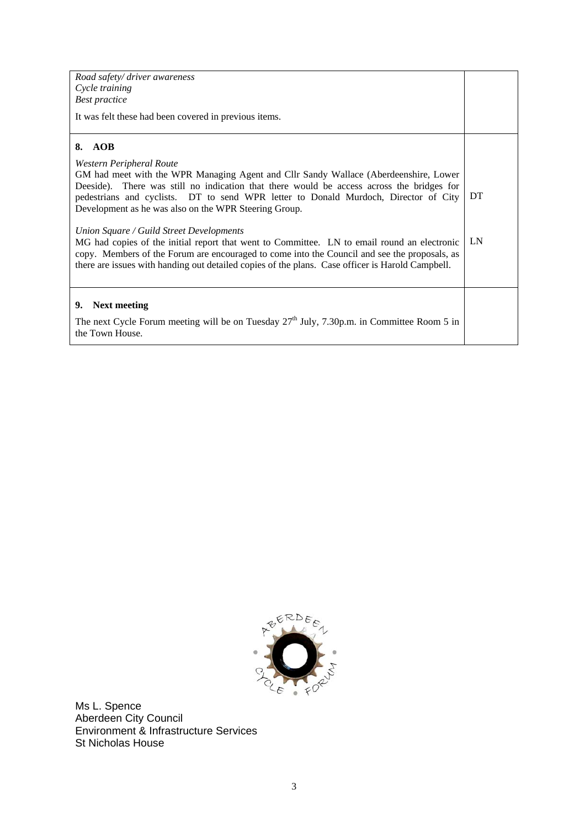| Road safety/ driver awareness                                                                          |    |
|--------------------------------------------------------------------------------------------------------|----|
| Cycle training                                                                                         |    |
| <b>Best practice</b>                                                                                   |    |
| It was felt these had been covered in previous items.                                                  |    |
| 8. AOB                                                                                                 |    |
| Western Peripheral Route                                                                               |    |
| GM had meet with the WPR Managing Agent and Cllr Sandy Wallace (Aberdeenshire, Lower                   |    |
| Deeside). There was still no indication that there would be access across the bridges for              |    |
| pedestrians and cyclists. DT to send WPR letter to Donald Murdoch, Director of City                    | DT |
| Development as he was also on the WPR Steering Group.                                                  |    |
| Union Square / Guild Street Developments                                                               |    |
| MG had copies of the initial report that went to Committee. LN to email round an electronic            | LN |
| copy. Members of the Forum are encouraged to come into the Council and see the proposals, as           |    |
| there are issues with handing out detailed copies of the plans. Case officer is Harold Campbell.       |    |
|                                                                                                        |    |
|                                                                                                        |    |
| <b>Next meeting</b><br>9.                                                                              |    |
| The next Cycle Forum meeting will be on Tuesday 27 <sup>th</sup> July, 7.30p.m. in Committee Room 5 in |    |
| the Town House.                                                                                        |    |
|                                                                                                        |    |



Ms L. Spence Aberdeen City Council Environment & Infrastructure Services St Nicholas House